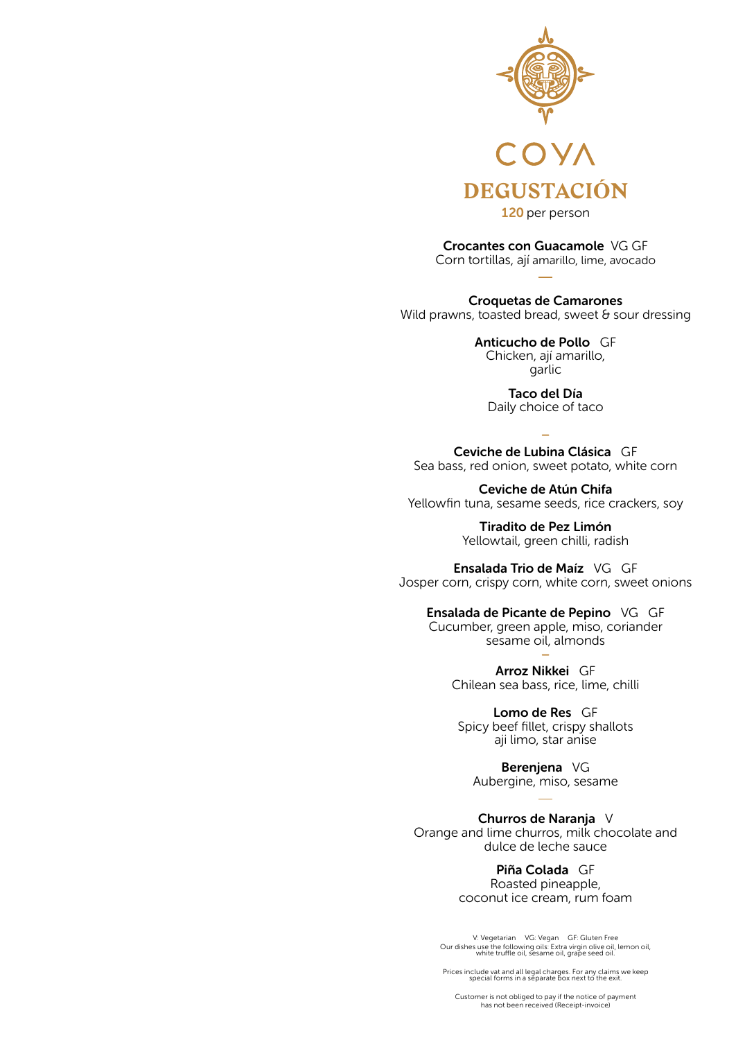

120 per person

Crocantes con Guacamole VG GF Corn tortillas, ají amarillo, lime, avocado

Croquetas de Camarones Wild prawns, toasted bread, sweet  $\theta$  sour dressing

> Anticucho de Pollo GF Chicken, ají amarillo, garlic

Taco del Día Daily choice of taco

– Ceviche de Lubina Clásica GF Sea bass, red onion, sweet potato, white corn

Ceviche de Atún Chifa Yellowfin tuna, sesame seeds, rice crackers, soy

> Tiradito de Pez Limón Yellowtail, green chilli, radish

Ensalada Trio de Maíz VG GF Josper corn, crispy corn, white corn, sweet onions

Ensalada de Picante de Pepino VG GF

Cucumber, green apple, miso, coriander sesame oil, almonds –

> Arroz Nikkei GF Chilean sea bass, rice, lime, chilli

Lomo de Res GF Spicy beef fillet, crispy shallots aji limo, star anise

Berenjena VG Aubergine, miso, sesame

Churros de Naranja V Orange and lime churros, milk chocolate and dulce de leche sauce

> Piña Colada GF Roasted pineapple, coconut ice cream, rum foam

V: Vegetarian VG: Vegan GF: Gluten Free Our dishes use the following oils: Extra virgin olive oil, lemon oil, white truffle oil, sesame oil, grape seed oil.

Prices include vat and all legal charges. For any claims we keep special forms in a separate box next to the exit.

Customer is not obliged to pay if the notice of payment has not been received (Receipt-invoice)